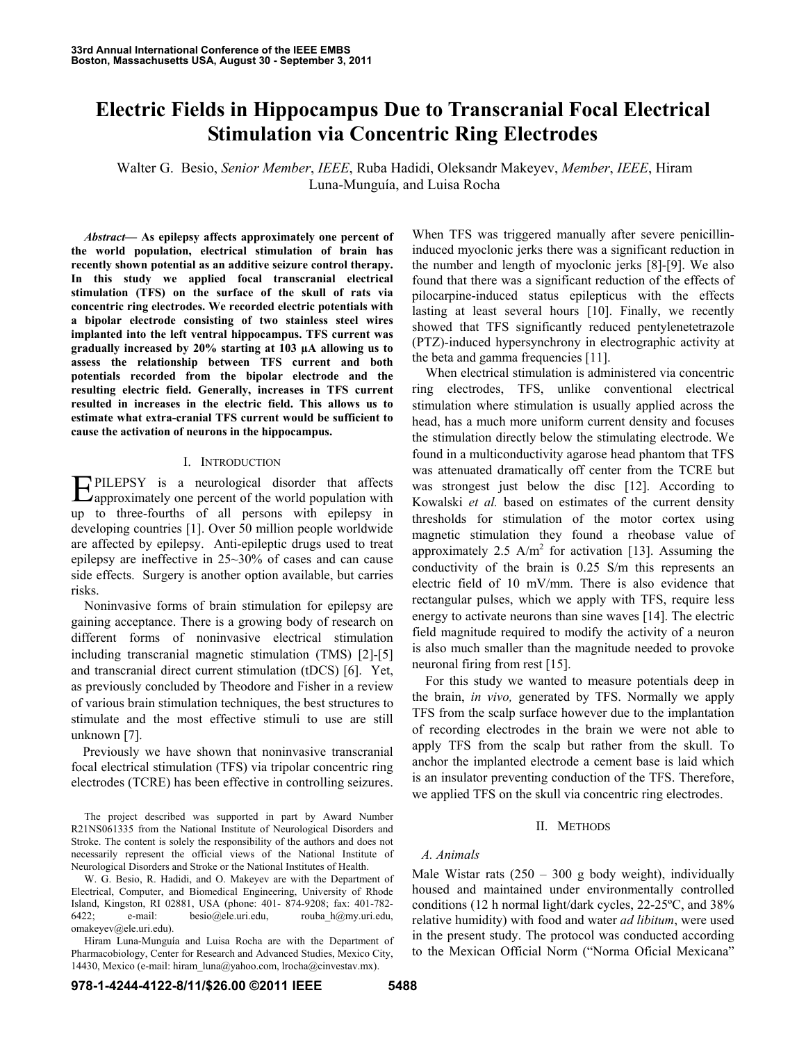# **Electric Fields in Hippocampus Due to Transcranial Focal Electrical Stimulation via Concentric Ring Electrodes**

Walter G. Besio, *Senior Member*, *IEEE*, Ruba Hadidi, Oleksandr Makeyev, *Member*, *IEEE*, Hiram Luna-Munguía, and Luisa Rocha

*Abstract***— As epilepsy affects approximately one percent of the world population, electrical stimulation of brain has recently shown potential as an additive seizure control therapy. In this study we applied focal transcranial electrical stimulation (TFS) on the surface of the skull of rats via concentric ring electrodes. We recorded electric potentials with a bipolar electrode consisting of two stainless steel wires implanted into the left ventral hippocampus. TFS current was gradually increased by 20% starting at 103 µA allowing us to assess the relationship between TFS current and both potentials recorded from the bipolar electrode and the resulting electric field. Generally, increases in TFS current resulted in increases in the electric field. This allows us to estimate what extra-cranial TFS current would be sufficient to cause the activation of neurons in the hippocampus.** 

## I. INTRODUCTION

PILEPSY is a neurological disorder that affects **EPILEPSY** is a neurological disorder that affects approximately one percent of the world population with up to three-fourths of all persons with epilepsy in developing countries [1]. Over 50 million people worldwide are affected by epilepsy. Anti-epileptic drugs used to treat epilepsy are ineffective in 25~30% of cases and can cause side effects. Surgery is another option available, but carries risks.

Noninvasive forms of brain stimulation for epilepsy are gaining acceptance. There is a growing body of research on different forms of noninvasive electrical stimulation including transcranial magnetic stimulation (TMS) [2]-[5] and transcranial direct current stimulation (tDCS) [6]. Yet, as previously concluded by Theodore and Fisher in a review of various brain stimulation techniques, the best structures to stimulate and the most effective stimuli to use are still unknown [7].

Previously we have shown that noninvasive transcranial focal electrical stimulation (TFS) via tripolar concentric ring electrodes (TCRE) has been effective in controlling seizures.

The project described was supported in part by Award Number R21NS061335 from the National Institute of Neurological Disorders and Stroke. The content is solely the responsibility of the authors and does not necessarily represent the official views of the National Institute of Neurological Disorders and Stroke or the National Institutes of Health.

W. G. Besio, R. Hadidi, and O. Makeyev are with the Department of Electrical, Computer, and Biomedical Engineering, University of Rhode Island, Kingston, RI 02881, USA (phone: 401- 874-9208; fax: 401-782- 6422; e-mail: besio@ele.uri.edu, rouba\_h@my.uri.edu, omakeyev@ele.uri.edu).

Hiram Luna-Munguía and Luisa Rocha are with the Department of Pharmacobiology, Center for Research and Advanced Studies, Mexico City, 14430, Mexico (e-mail: hiram\_luna@yahoo.com, lrocha@cinvestav.mx).

When TFS was triggered manually after severe penicillininduced myoclonic jerks there was a significant reduction in the number and length of myoclonic jerks [8]-[9]. We also found that there was a significant reduction of the effects of pilocarpine-induced status epilepticus with the effects lasting at least several hours [10]. Finally, we recently showed that TFS significantly reduced pentylenetetrazole (PTZ)-induced hypersynchrony in electrographic activity at the beta and gamma frequencies [11].

When electrical stimulation is administered via concentric ring electrodes, TFS, unlike conventional electrical stimulation where stimulation is usually applied across the head, has a much more uniform current density and focuses the stimulation directly below the stimulating electrode. We found in a multiconductivity agarose head phantom that TFS was attenuated dramatically off center from the TCRE but was strongest just below the disc [12]. According to Kowalski *et al.* based on estimates of the current density thresholds for stimulation of the motor cortex using magnetic stimulation they found a rheobase value of approximately 2.5  $A/m^2$  for activation [13]. Assuming the conductivity of the brain is 0.25 S/m this represents an electric field of 10 mV/mm. There is also evidence that rectangular pulses, which we apply with TFS, require less energy to activate neurons than sine waves [14]. The electric field magnitude required to modify the activity of a neuron is also much smaller than the magnitude needed to provoke neuronal firing from rest [15].

For this study we wanted to measure potentials deep in the brain, *in vivo,* generated by TFS. Normally we apply TFS from the scalp surface however due to the implantation of recording electrodes in the brain we were not able to apply TFS from the scalp but rather from the skull. To anchor the implanted electrode a cement base is laid which is an insulator preventing conduction of the TFS. Therefore, we applied TFS on the skull via concentric ring electrodes.

# II. METHODS

# *A. Animals*

Male Wistar rats  $(250 - 300$  g body weight), individually housed and maintained under environmentally controlled conditions (12 h normal light/dark cycles, 22-25ºC, and 38% relative humidity) with food and water *ad libitum*, were used in the present study. The protocol was conducted according to the Mexican Official Norm ("Norma Oficial Mexicana"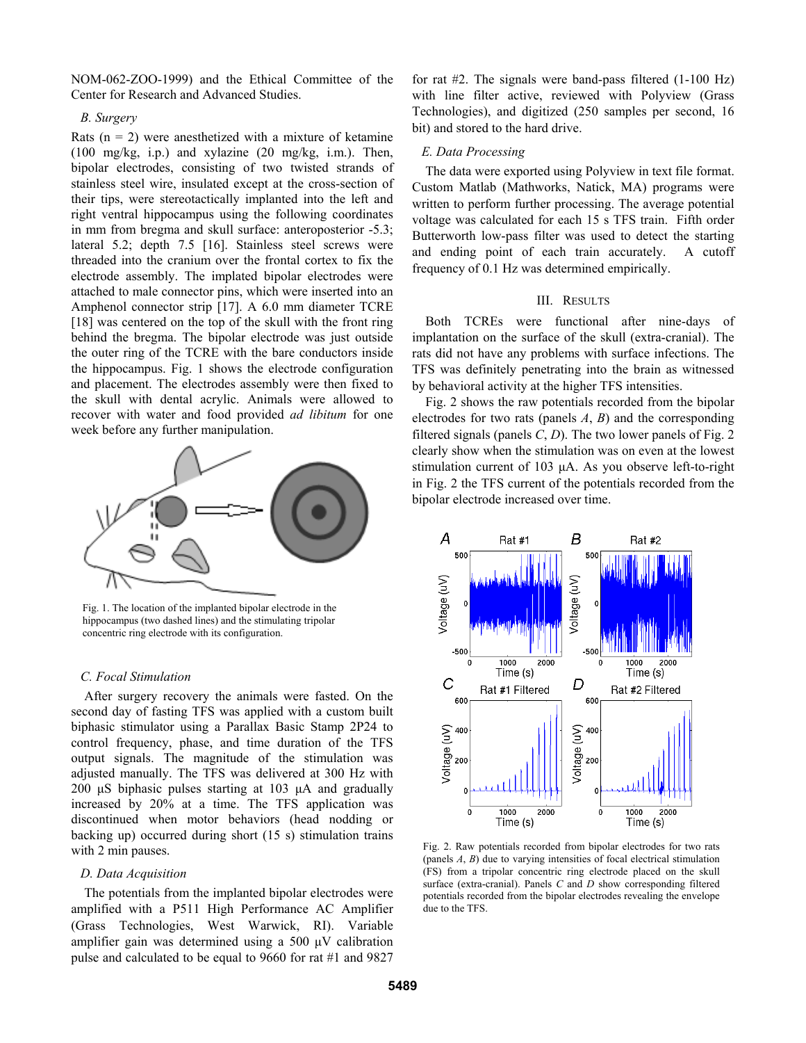NOM-062-ZOO-1999) and the Ethical Committee of the Center for Research and Advanced Studies.

## *B. Surgery*

Rats  $(n = 2)$  were anesthetized with a mixture of ketamine (100 mg/kg, i.p.) and xylazine (20 mg/kg, i.m.). Then, bipolar electrodes, consisting of two twisted strands of stainless steel wire, insulated except at the cross-section of their tips, were stereotactically implanted into the left and right ventral hippocampus using the following coordinates in mm from bregma and skull surface: anteroposterior -5.3; lateral 5.2; depth 7.5 [16]. Stainless steel screws were threaded into the cranium over the frontal cortex to fix the electrode assembly. The implated bipolar electrodes were attached to male connector pins, which were inserted into an Amphenol connector strip [17]. A 6.0 mm diameter TCRE [18] was centered on the top of the skull with the front ring behind the bregma. The bipolar electrode was just outside the outer ring of the TCRE with the bare conductors inside the hippocampus. Fig. 1 shows the electrode configuration and placement. The electrodes assembly were then fixed to the skull with dental acrylic. Animals were allowed to recover with water and food provided *ad libitum* for one week before any further manipulation.



Fig. 1. The location of the implanted bipolar electrode in the hippocampus (two dashed lines) and the stimulating tripolar concentric ring electrode with its configuration.

#### *C. Focal Stimulation*

 After surgery recovery the animals were fasted. On the second day of fasting TFS was applied with a custom built biphasic stimulator using a Parallax Basic Stamp 2P24 to control frequency, phase, and time duration of the TFS output signals. The magnitude of the stimulation was adjusted manually. The TFS was delivered at 300 Hz with 200 μS biphasic pulses starting at 103 μA and gradually increased by 20% at a time. The TFS application was discontinued when motor behaviors (head nodding or backing up) occurred during short (15 s) stimulation trains with 2 min pauses.

#### *D. Data Acquisition*

The potentials from the implanted bipolar electrodes were amplified with a P511 High Performance AC Amplifier (Grass Technologies, West Warwick, RI). Variable amplifier gain was determined using a 500 μV calibration pulse and calculated to be equal to 9660 for rat #1 and 9827

for rat #2. The signals were band-pass filtered (1-100 Hz) with line filter active, reviewed with Polyview (Grass Technologies), and digitized (250 samples per second, 16 bit) and stored to the hard drive.

# *E. Data Processing*

The data were exported using Polyview in text file format. Custom Matlab (Mathworks, Natick, MA) programs were written to perform further processing. The average potential voltage was calculated for each 15 s TFS train. Fifth order Butterworth low-pass filter was used to detect the starting and ending point of each train accurately. A cutoff frequency of 0.1 Hz was determined empirically.

## III. RESULTS

Both TCREs were functional after nine-days of implantation on the surface of the skull (extra-cranial). The rats did not have any problems with surface infections. The TFS was definitely penetrating into the brain as witnessed by behavioral activity at the higher TFS intensities.

Fig. 2 shows the raw potentials recorded from the bipolar electrodes for two rats (panels *A*, *B*) and the corresponding filtered signals (panels *C*, *D*). The two lower panels of Fig. 2 clearly show when the stimulation was on even at the lowest stimulation current of 103 μA. As you observe left-to-right in Fig. 2 the TFS current of the potentials recorded from the bipolar electrode increased over time.



Fig. 2. Raw potentials recorded from bipolar electrodes for two rats (panels *A*, *B*) due to varying intensities of focal electrical stimulation (FS) from a tripolar concentric ring electrode placed on the skull surface (extra-cranial). Panels *C* and *D* show corresponding filtered potentials recorded from the bipolar electrodes revealing the envelope due to the TFS.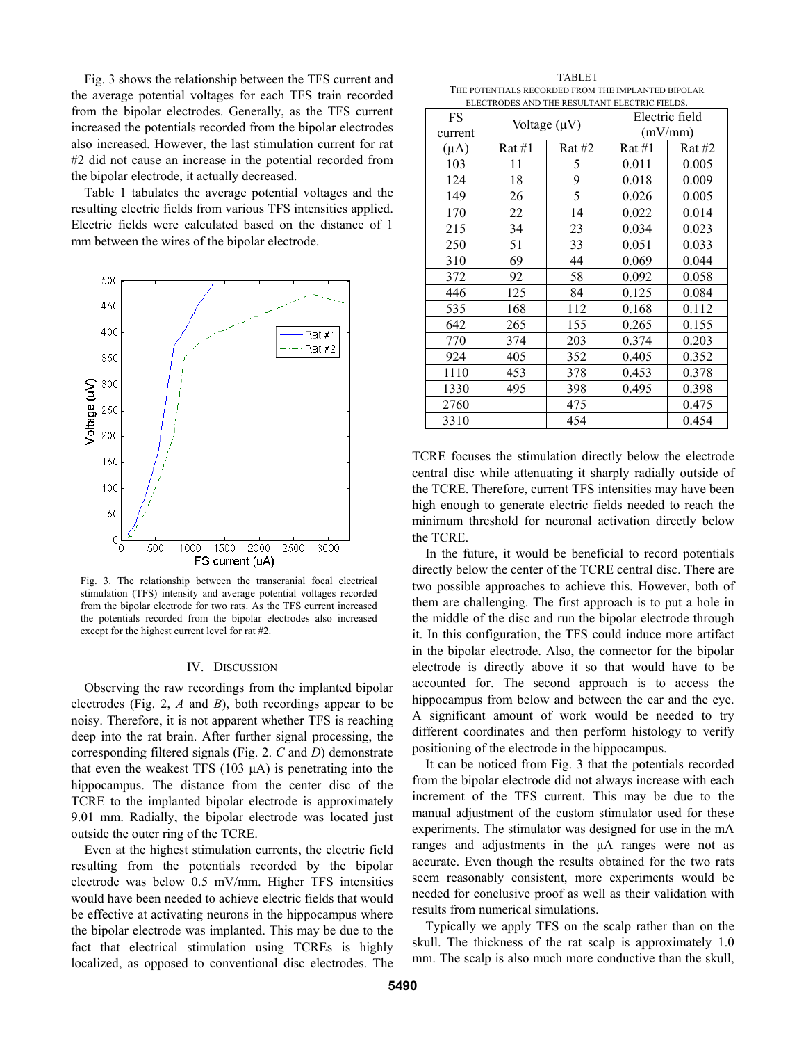Fig. 3 shows the relationship between the TFS current and the average potential voltages for each TFS train recorded from the bipolar electrodes. Generally, as the TFS current increased the potentials recorded from the bipolar electrodes also increased. However, the last stimulation current for rat #2 did not cause an increase in the potential recorded from the bipolar electrode, it actually decreased.

Table 1 tabulates the average potential voltages and the resulting electric fields from various TFS intensities applied. Electric fields were calculated based on the distance of 1 mm between the wires of the bipolar electrode.



Fig. 3. The relationship between the transcranial focal electrical stimulation (TFS) intensity and average potential voltages recorded from the bipolar electrode for two rats. As the TFS current increased the potentials recorded from the bipolar electrodes also increased except for the highest current level for rat #2.

### IV. DISCUSSION

Observing the raw recordings from the implanted bipolar electrodes (Fig. 2, *A* and *B*), both recordings appear to be noisy. Therefore, it is not apparent whether TFS is reaching deep into the rat brain. After further signal processing, the corresponding filtered signals (Fig. 2. *C* and *D*) demonstrate that even the weakest TFS  $(103 \mu A)$  is penetrating into the hippocampus. The distance from the center disc of the TCRE to the implanted bipolar electrode is approximately 9.01 mm. Radially, the bipolar electrode was located just outside the outer ring of the TCRE.

Even at the highest stimulation currents, the electric field resulting from the potentials recorded by the bipolar electrode was below 0.5 mV/mm. Higher TFS intensities would have been needed to achieve electric fields that would be effective at activating neurons in the hippocampus where the bipolar electrode was implanted. This may be due to the fact that electrical stimulation using TCREs is highly localized, as opposed to conventional disc electrodes. The

| <b>TABLEI</b>                                      |
|----------------------------------------------------|
| THE POTENTIALS RECORDED FROM THE IMPLANTED BIPOLAR |
| ELECTRODES AND THE RESULTANT ELECTRIC FIELDS.      |

| FS<br>current | Voltage $(\mu V)$<br>Rat #1<br>Rat #2 |     | Electric field<br>(mV/mm) |        |
|---------------|---------------------------------------|-----|---------------------------|--------|
| $(\mu A)$     |                                       |     | $\text{Rat} \#1$          | Rat #2 |
|               |                                       |     |                           |        |
| 103           | 11                                    | 5   | 0.011                     | 0.005  |
| 124           | 18                                    | 9   | 0.018                     | 0.009  |
| 149           | 26                                    | 5   | 0.026                     | 0.005  |
| 170           | 22                                    | 14  | 0.022                     | 0.014  |
| 215           | 34                                    | 23  | 0.034                     | 0.023  |
| 250           | 51                                    | 33  | 0.051                     | 0.033  |
| 310           | 69                                    | 44  | 0.069                     | 0.044  |
| 372           | 92                                    | 58  | 0.092                     | 0.058  |
| 446           | 125                                   | 84  | 0.125                     | 0.084  |
| 535           | 168                                   | 112 | 0.168                     | 0.112  |
| 642           | 265                                   | 155 | 0.265                     | 0.155  |
| 770           | 374                                   | 203 | 0.374                     | 0.203  |
| 924           | 405                                   | 352 | 0.405                     | 0.352  |
| 1110          | 453                                   | 378 | 0.453                     | 0.378  |
| 1330          | 495                                   | 398 | 0.495                     | 0.398  |
| 2760          |                                       | 475 |                           | 0.475  |
| 3310          |                                       | 454 |                           | 0.454  |

TCRE focuses the stimulation directly below the electrode central disc while attenuating it sharply radially outside of the TCRE. Therefore, current TFS intensities may have been high enough to generate electric fields needed to reach the minimum threshold for neuronal activation directly below the TCRE.

In the future, it would be beneficial to record potentials directly below the center of the TCRE central disc. There are two possible approaches to achieve this. However, both of them are challenging. The first approach is to put a hole in the middle of the disc and run the bipolar electrode through it. In this configuration, the TFS could induce more artifact in the bipolar electrode. Also, the connector for the bipolar electrode is directly above it so that would have to be accounted for. The second approach is to access the hippocampus from below and between the ear and the eye. A significant amount of work would be needed to try different coordinates and then perform histology to verify positioning of the electrode in the hippocampus.

It can be noticed from Fig. 3 that the potentials recorded from the bipolar electrode did not always increase with each increment of the TFS current. This may be due to the manual adjustment of the custom stimulator used for these experiments. The stimulator was designed for use in the mA ranges and adjustments in the μA ranges were not as accurate. Even though the results obtained for the two rats seem reasonably consistent, more experiments would be needed for conclusive proof as well as their validation with results from numerical simulations.

Typically we apply TFS on the scalp rather than on the skull. The thickness of the rat scalp is approximately 1.0 mm. The scalp is also much more conductive than the skull,